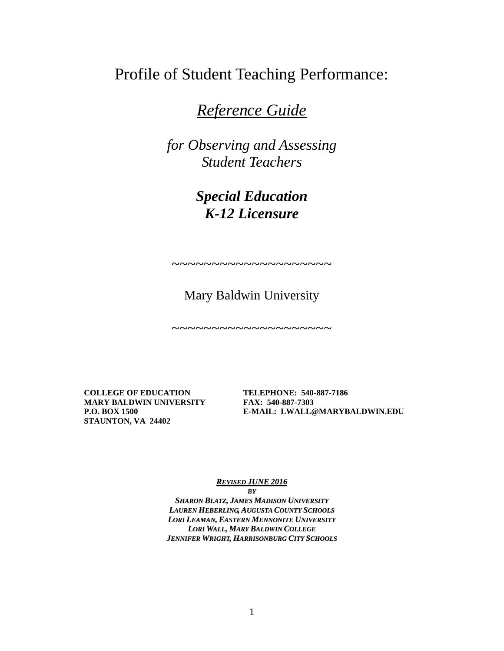Profile of Student Teaching Performance:

*Reference Guide*

*for Observing and Assessing Student Teachers*

> *Special Education K-12 Licensure*

~~~~~~~~~~~~~~~~~~~~

Mary Baldwin University

 $\sim$ ~~~~~~~~~~~~~~~~~

**COLLEGE OF EDUCATION TELEPHONE: 540-887-7186 MARY BALDWIN UNIVERSITY FAX: 540-887-7303 STAUNTON, VA 24402**

**P.O. BOX 1500 E-MAIL: LWALL@MARYBALDWIN.EDU**

*REVISED JUNE 2016 BY*

*SHARON BLATZ, JAMES MADISON UNIVERSITY LAUREN HEBERLING, AUGUSTA COUNTY SCHOOLS LORI LEAMAN, EASTERN MENNONITE UNIVERSITY LORI WALL, MARY BALDWIN COLLEGE JENNIFER WRIGHT, HARRISONBURG CITY SCHOOLS*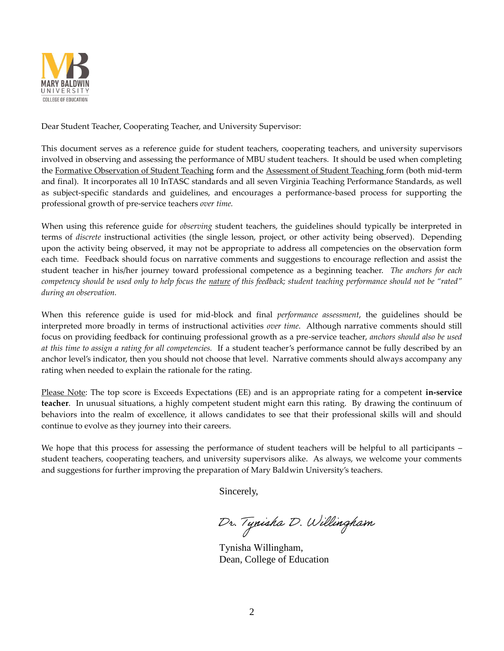

Dear Student Teacher, Cooperating Teacher, and University Supervisor:

This document serves as a reference guide for student teachers, cooperating teachers, and university supervisors involved in observing and assessing the performance of MBU student teachers. It should be used when completing the Formative Observation of Student Teaching form and the Assessment of Student Teaching form (both mid-term and final). It incorporates all 10 InTASC standards and all seven Virginia Teaching Performance Standards, as well as subject-specific standards and guidelines, and encourages a performance-based process for supporting the professional growth of pre-service teachers *over time.*

When using this reference guide for *observing* student teachers, the guidelines should typically be interpreted in terms of *discrete* instructional activities (the single lesson, project, or other activity being observed). Depending upon the activity being observed, it may not be appropriate to address all competencies on the observation form each time. Feedback should focus on narrative comments and suggestions to encourage reflection and assist the student teacher in his/her journey toward professional competence as a beginning teacher. *The anchors for each competency should be used only to help focus the nature of this feedback; student teaching performance should not be "rated" during an observation.* 

When this reference guide is used for mid-block and final *performance assessment*, the guidelines should be interpreted more broadly in terms of instructional activities *over time*. Although narrative comments should still focus on providing feedback for continuing professional growth as a pre-service teacher, *anchors should also be used at this time to assign a rating for all competencies.* If a student teacher's performance cannot be fully described by an anchor level's indicator, then you should not choose that level. Narrative comments should always accompany any rating when needed to explain the rationale for the rating.

Please Note: The top score is Exceeds Expectations (EE) and is an appropriate rating for a competent **in-service teacher**. In unusual situations, a highly competent student might earn this rating. By drawing the continuum of behaviors into the realm of excellence, it allows candidates to see that their professional skills will and should continue to evolve as they journey into their careers.

We hope that this process for assessing the performance of student teachers will be helpful to all participants – student teachers, cooperating teachers, and university supervisors alike. As always, we welcome your comments and suggestions for further improving the preparation of Mary Baldwin University's teachers.

Sincerely,

Dr. Tynisha D. Willingham

Tynisha Willingham, Dean, College of Education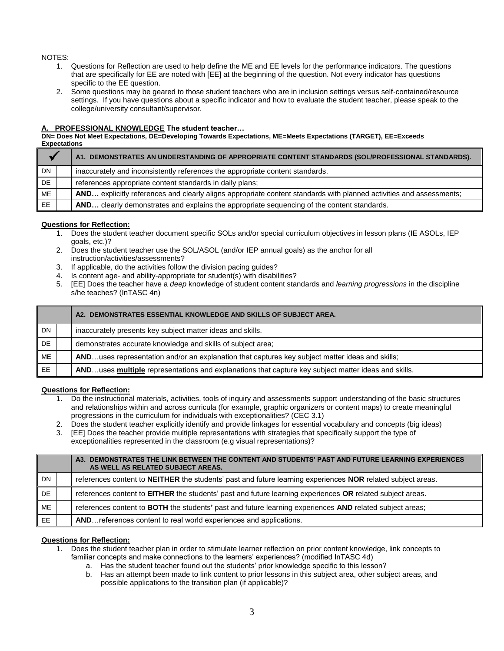### NOTES:

- 1. Questions for Reflection are used to help define the ME and EE levels for the performance indicators. The questions that are specifically for EE are noted with [EE] at the beginning of the question. Not every indicator has questions specific to the EE question.
- 2. Some questions may be geared to those student teachers who are in inclusion settings versus self-contained/resource settings. If you have questions about a specific indicator and how to evaluate the student teacher, please speak to the college/university consultant/supervisor.

### **PROFESSIONAL KNOWLEDGE The student teacher...**

**DN= Does Not Meet Expectations, DE=Developing Towards Expectations, ME=Meets Expectations (TARGET), EE=Exceeds Expectations**

|     | A1. DEMONSTRATES AN UNDERSTANDING OF APPROPRIATE CONTENT STANDARDS (SOL/PROFESSIONAL STANDARDS).                    |
|-----|---------------------------------------------------------------------------------------------------------------------|
| DN. | inaccurately and inconsistently references the appropriate content standards.                                       |
| DE  | references appropriate content standards in daily plans;                                                            |
| ME  | AND explicitly references and clearly aligns appropriate content standards with planned activities and assessments; |
| EE. | AND clearly demonstrates and explains the appropriate sequencing of the content standards.                          |

### **Questions for Reflection:**

- 1. Does the student teacher document specific SOLs and/or special curriculum objectives in lesson plans (IE ASOLs, IEP goals, etc.)?
- 2. Does the student teacher use the SOL/ASOL (and/or IEP annual goals) as the anchor for all instruction/activities/assessments?
- 3. If applicable, do the activities follow the division pacing guides?
- 4. Is content age- and ability-appropriate for student(s) with disabilities?
- 5. [EE] Does the teacher have a *deep* knowledge of student content standards and *learning progressions* in the discipline s/he teaches? (InTASC 4n)

|     | A2. DEMONSTRATES ESSENTIAL KNOWLEDGE AND SKILLS OF SUBJECT AREA.                                    |
|-----|-----------------------------------------------------------------------------------------------------|
| DN  | inaccurately presents key subject matter ideas and skills.                                          |
| DE. | demonstrates accurate knowledge and skills of subject area;                                         |
| ME  | ANDuses representation and/or an explanation that captures key subject matter ideas and skills;     |
| EE. | ANDuses multiple representations and explanations that capture key subject matter ideas and skills. |

### **Questions for Reflection:**

- 1. Do the instructional materials, activities, tools of inquiry and assessments support understanding of the basic structures and relationships within and across curricula (for example, graphic organizers or content maps) to create meaningful progressions in the curriculum for individuals with exceptionalities? (CEC 3.1)
- 2. Does the student teacher explicitly identify and provide linkages for essential vocabulary and concepts (big ideas)
- 3. [EE] Does the teacher provide multiple representations with strategies that specifically support the type of exceptionalities represented in the classroom (e.g visual representations)?

|           | DEMONSTRATES THE LINK BETWEEN THE CONTENT AND STUDENTS' PAST AND FUTURE LEARNING EXPERIENCES<br>A3.<br>AS WELL AS RELATED SUBJECT AREAS. |
|-----------|------------------------------------------------------------------------------------------------------------------------------------------|
| <b>DN</b> | references content to NEITHER the students' past and future learning experiences NOR related subject areas.                              |
| DE.       | references content to EITHER the students' past and future learning experiences OR related subject areas.                                |
| ME        | references content to BOTH the students' past and future learning experiences AND related subject areas;                                 |
| EE.       | AND references content to real world experiences and applications.                                                                       |

- 1. Does the student teacher plan in order to stimulate learner reflection on prior content knowledge, link concepts to familiar concepts and make connections to the learners' experiences? (modified InTASC 4d)
	- a. Has the student teacher found out the students' prior knowledge specific to this lesson?
	- b. Has an attempt been made to link content to prior lessons in this subject area, other subject areas, and possible applications to the transition plan (if applicable)?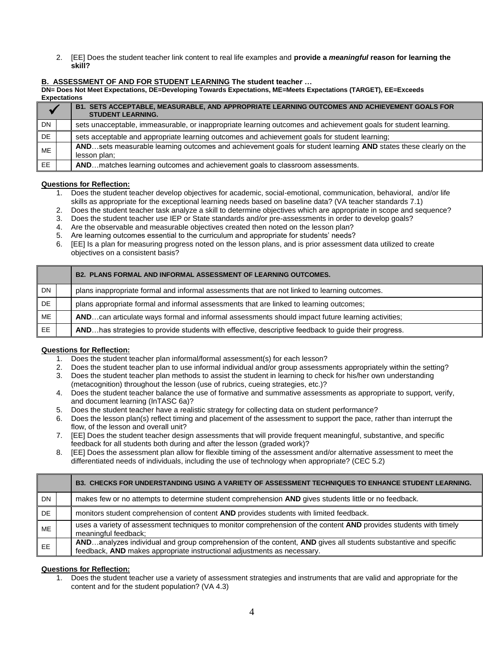2. [EE] Does the student teacher link content to real life examples and **provide a** *meaningful* **reason for learning the skill?**

### **B. ASSESSMENT OF AND FOR STUDENT LEARNING The student teacher …**

**DN= Does Not Meet Expectations, DE=Developing Towards Expectations, ME=Meets Expectations (TARGET), EE=Exceeds Expectations**

|     | B1. SETS ACCEPTABLE, MEASURABLE, AND APPROPRIATE LEARNING OUTCOMES AND ACHIEVEMENT GOALS FOR<br><b>STUDENT LEARNING.</b>        |
|-----|---------------------------------------------------------------------------------------------------------------------------------|
| DN. | sets unacceptable, immeasurable, or inappropriate learning outcomes and achievement goals for student learning.                 |
| DE  | sets acceptable and appropriate learning outcomes and achievement goals for student learning;                                   |
| ME  | ANDsets measurable learning outcomes and achievement goals for student learning AND states these clearly on the<br>lesson plan: |
| EE. | ANDmatches learning outcomes and achievement goals to classroom assessments.                                                    |

### **Questions for Reflection:**

- 1. Does the student teacher develop objectives for academic, social-emotional, communication, behavioral, and/or life skills as appropriate for the exceptional learning needs based on baseline data? (VA teacher standards 7.1)
- 2. Does the student teacher task analyze a skill to determine objectives which are appropriate in scope and sequence?
- 3. Does the student teacher use IEP or State standards and/or pre-assessments in order to develop goals?
- 4. Are the observable and measurable objectives created then noted on the lesson plan?
- 5. Are learning outcomes essential to the curriculum and appropriate for students' needs?
- 6. [EE] Is a plan for measuring progress noted on the lesson plans, and is prior assessment data utilized to create objectives on a consistent basis?

|           | <b>B2. PLANS FORMAL AND INFORMAL ASSESSMENT OF LEARNING OUTCOMES.</b>                               |
|-----------|-----------------------------------------------------------------------------------------------------|
| <b>DN</b> | plans inappropriate formal and informal assessments that are not linked to learning outcomes.       |
| DE        | plans appropriate formal and informal assessments that are linked to learning outcomes;             |
| ME        | ANDcan articulate ways formal and informal assessments should impact future learning activities;    |
| EE.       | ANDhas strategies to provide students with effective, descriptive feedback to guide their progress. |

# **Questions for Reflection:**

- 1. Does the student teacher plan informal/formal assessment(s) for each lesson?
- 2. Does the student teacher plan to use informal individual and/or group assessments appropriately within the setting?
- 3. Does the student teacher plan methods to assist the student in learning to check for his/her own understanding
- (metacognition) throughout the lesson (use of rubrics, cueing strategies, etc.)? 4. Does the student teacher balance the use of formative and summative assessments as appropriate to support, verify, and document learning (InTASC 6a)?
- 5. Does the student teacher have a realistic strategy for collecting data on student performance?
- 6. Does the lesson plan(s) reflect timing and placement of the assessment to support the pace, rather than interrupt the flow, of the lesson and overall unit?
- 7. [EE] Does the student teacher design assessments that will provide frequent meaningful, substantive, and specific feedback for all students both during and after the lesson (graded work)?
- 8. [EE] Does the assessment plan allow for flexible timing of the assessment and/or alternative assessment to meet the differentiated needs of individuals, including the use of technology when appropriate? (CEC 5.2)

|           | <b>B3. CHECKS FOR UNDERSTANDING USING A VARIETY OF ASSESSMENT TECHNIQUES TO ENHANCE STUDENT LEARNING.</b>                                                                                 |
|-----------|-------------------------------------------------------------------------------------------------------------------------------------------------------------------------------------------|
| <b>DN</b> | makes few or no attempts to determine student comprehension AND gives students little or no feedback.                                                                                     |
| DE.       | monitors student comprehension of content AND provides students with limited feedback.                                                                                                    |
| <b>ME</b> | uses a variety of assessment techniques to monitor comprehension of the content AND provides students with timely<br>meaningful feedback;                                                 |
| EE        | ANDanalyzes individual and group comprehension of the content, AND gives all students substantive and specific<br>feedback, AND makes appropriate instructional adjustments as necessary. |

# **Questions for Reflection:**

1. Does the student teacher use a variety of assessment strategies and instruments that are valid and appropriate for the content and for the student population? (VA 4.3)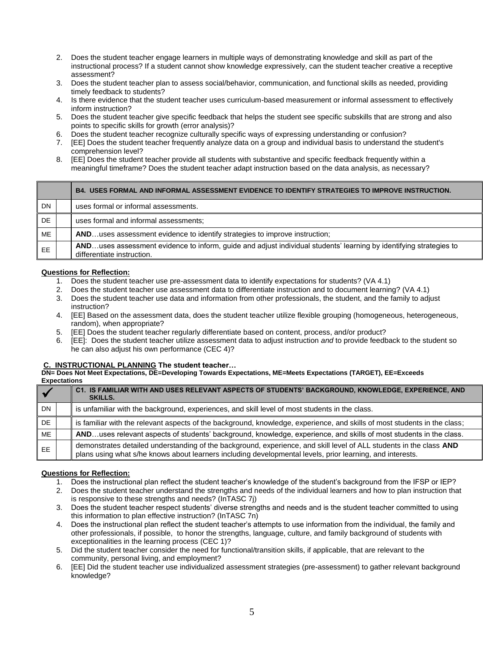- 2. Does the student teacher engage learners in multiple ways of demonstrating knowledge and skill as part of the instructional process? If a student cannot show knowledge expressively, can the student teacher creative a receptive assessment?
- 3. Does the student teacher plan to assess social/behavior, communication, and functional skills as needed, providing timely feedback to students?
- 4. Is there evidence that the student teacher uses curriculum-based measurement or informal assessment to effectively inform instruction?
- 5. Does the student teacher give specific feedback that helps the student see specific subskills that are strong and also points to specific skills for growth (error analysis)?
- 6. Does the student teacher recognize culturally specific ways of expressing understanding or confusion?
- 7. [EE] Does the student teacher frequently analyze data on a group and individual basis to understand the student's comprehension level?
- 8. [EE] Does the student teacher provide all students with substantive and specific feedback frequently within a meaningful timeframe? Does the student teacher adapt instruction based on the data analysis, as necessary?

|           | B4. USES FORMAL AND INFORMAL ASSESSMENT EVIDENCE TO IDENTIFY STRATEGIES TO IMPROVE INSTRUCTION.                                                  |
|-----------|--------------------------------------------------------------------------------------------------------------------------------------------------|
| <b>DN</b> | uses formal or informal assessments.                                                                                                             |
| DE        | uses formal and informal assessments;                                                                                                            |
| ME        | ANDuses assessment evidence to identify strategies to improve instruction;                                                                       |
| <b>EE</b> | ANDuses assessment evidence to inform, guide and adjust individual students' learning by identifying strategies to<br>differentiate instruction. |

- 1. Does the student teacher use pre-assessment data to identify expectations for students? (VA 4.1)
- 2. Does the student teacher use assessment data to differentiate instruction and to document learning? (VA 4.1)
- 3. Does the student teacher use data and information from other professionals, the student, and the family to adjust instruction?
- 4. [EE] Based on the assessment data, does the student teacher utilize flexible grouping (homogeneous, heterogeneous, random), when appropriate?
- 5. [EE] Does the student teacher regularly differentiate based on content, process, and/or product?
- 6. [EE]: Does the student teacher utilize assessment data to adjust instruction *and* to provide feedback to the student so he can also adjust his own performance (CEC 4)?

### **C. INSTRUCTIONAL PLANNING The student teacher…**

**DN= Does Not Meet Expectations, DE=Developing Towards Expectations, ME=Meets Expectations (TARGET), EE=Exceeds Expectations**

|           | C1. IS FAMILIAR WITH AND USES RELEVANT ASPECTS OF STUDENTS' BACKGROUND, KNOWLEDGE, EXPERIENCE, AND<br><b>SKILLS.</b>                                                                                                             |
|-----------|----------------------------------------------------------------------------------------------------------------------------------------------------------------------------------------------------------------------------------|
| <b>DN</b> | is unfamiliar with the background, experiences, and skill level of most students in the class.                                                                                                                                   |
| DE.       | is familiar with the relevant aspects of the background, knowledge, experience, and skills of most students in the class;                                                                                                        |
| ME        | ANDuses relevant aspects of students' background, knowledge, experience, and skills of most students in the class.                                                                                                               |
| EE.       | demonstrates detailed understanding of the background, experience, and skill level of ALL students in the class AND<br>plans using what s/he knows about learners including developmental levels, prior learning, and interests. |

- 1. Does the instructional plan reflect the student teacher's knowledge of the student's background from the IFSP or IEP?
- 2. Does the student teacher understand the strengths and needs of the individual learners and how to plan instruction that is responsive to these strengths and needs? (InTASC 7j)
- 3. Does the student teacher respect students' diverse strengths and needs and is the student teacher committed to using this information to plan effective instruction? (InTASC 7n)
- 4. Does the instructional plan reflect the student teacher's attempts to use information from the individual, the family and other professionals, if possible, to honor the strengths, language, culture, and family background of students with exceptionalities in the learning process (CEC 1)?
- 5. Did the student teacher consider the need for functional/transition skills, if applicable, that are relevant to the community, personal living, and employment?
- 6. [EE] Did the student teacher use individualized assessment strategies (pre-assessment) to gather relevant background knowledge?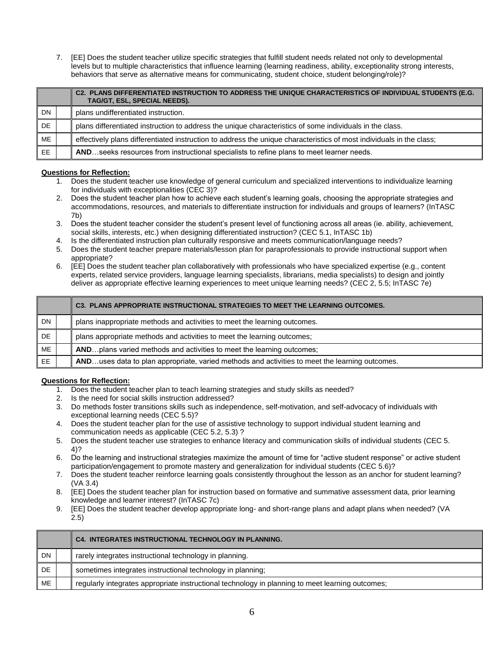7. [EE] Does the student teacher utilize specific strategies that fulfill student needs related not only to developmental levels but to multiple characteristics that influence learning (learning readiness, ability, exceptionality strong interests, behaviors that serve as alternative means for communicating, student choice, student belonging/role)?

|           | C2. PLANS DIFFERENTIATED INSTRUCTION TO ADDRESS THE UNIQUE CHARACTERISTICS OF INDIVIDUAL STUDENTS (E.G.<br>TAG/GT, ESL, SPECIAL NEEDS). |
|-----------|-----------------------------------------------------------------------------------------------------------------------------------------|
| <b>DN</b> | plans undifferentiated instruction.                                                                                                     |
| DE        | plans differentiated instruction to address the unique characteristics of some individuals in the class.                                |
| ME        | effectively plans differentiated instruction to address the unique characteristics of most individuals in the class;                    |
| <b>EE</b> | ANDseeks resources from instructional specialists to refine plans to meet learner needs.                                                |

# **Questions for Reflection:**

- 1. Does the student teacher use knowledge of general curriculum and specialized interventions to individualize learning for individuals with exceptionalities (CEC 3)?
- 2. Does the student teacher plan how to achieve each student's learning goals, choosing the appropriate strategies and accommodations, resources, and materials to differentiate instruction for individuals and groups of learners? (InTASC 7b)
- 3. Does the student teacher consider the student's present level of functioning across all areas (ie. ability, achievement, social skills, interests, etc.) when designing differentiated instruction? (CEC 5.1, InTASC 1b)
- 4. Is the differentiated instruction plan culturally responsive and meets communication/language needs?
- 5. Does the student teacher prepare materials/lesson plan for paraprofessionals to provide instructional support when appropriate?
- 6. [EE] Does the student teacher plan collaboratively with professionals who have specialized expertise (e.g., content experts, related service providers, language learning specialists, librarians, media specialists) to design and jointly deliver as appropriate effective learning experiences to meet unique learning needs? (CEC 2, 5.5; InTASC 7e)

|           | <b>C3. PLANS APPROPRIATE INSTRUCTIONAL STRATEGIES TO MEET THE LEARNING OUTCOMES.</b>           |
|-----------|------------------------------------------------------------------------------------------------|
| DN        | plans inappropriate methods and activities to meet the learning outcomes.                      |
| DE        | plans appropriate methods and activities to meet the learning outcomes;                        |
| <b>ME</b> | ANDplans varied methods and activities to meet the learning outcomes;                          |
| <b>EE</b> | ANDuses data to plan appropriate, varied methods and activities to meet the learning outcomes. |

- 1. Does the student teacher plan to teach learning strategies and study skills as needed?
- 2. Is the need for social skills instruction addressed?
- 3. Do methods foster transitions skills such as independence, self-motivation, and self-advocacy of individuals with exceptional learning needs (CEC 5.5)?
- 4. Does the student teacher plan for the use of assistive technology to support individual student learning and communication needs as applicable (CEC 5.2, 5.3) ?
- 5. Does the student teacher use strategies to enhance literacy and communication skills of individual students (CEC 5. 4)?
- 6. Do the learning and instructional strategies maximize the amount of time for "active student response" or active student participation/engagement to promote mastery and generalization for individual students (CEC 5.6)?
- 7. Does the student teacher reinforce learning goals consistently throughout the lesson as an anchor for student learning? (VA 3.4)
- 8. [EE] Does the student teacher plan for instruction based on formative and summative assessment data, prior learning knowledge and learner interest? (InTASC 7c)
- 9. [EE] Does the student teacher develop appropriate long- and short-range plans and adapt plans when needed? (VA 2.5)

|           | <b>C4. INTEGRATES INSTRUCTIONAL TECHNOLOGY IN PLANNING.</b>                                      |
|-----------|--------------------------------------------------------------------------------------------------|
| <b>DN</b> | rarely integrates instructional technology in planning.                                          |
| DE.       | sometimes integrates instructional technology in planning;                                       |
| ME        | regularly integrates appropriate instructional technology in planning to meet learning outcomes; |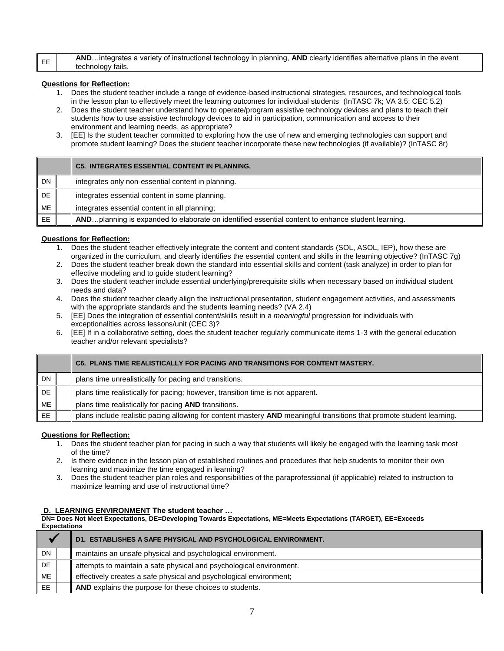|    | ANDintegrates a variety of instructional technology in planning, AND clearly identifies alternative plans in the event |
|----|------------------------------------------------------------------------------------------------------------------------|
| EE |                                                                                                                        |
|    | technology fails.                                                                                                      |

- 1. Does the student teacher include a range of evidence-based instructional strategies, resources, and technological tools in the lesson plan to effectively meet the learning outcomes for individual students (InTASC 7k; VA 3.5; CEC 5.2)
- 2. Does the student teacher understand how to operate/program assistive technology devices and plans to teach their students how to use assistive technology devices to aid in participation, communication and access to their environment and learning needs, as appropriate?
- 3. [EE] Is the student teacher committed to exploring how the use of new and emerging technologies can support and promote student learning? Does the student teacher incorporate these new technologies (if available)? (InTASC 8r)

|           | <b>C5. INTEGRATES ESSENTIAL CONTENT IN PLANNING.</b>                                              |
|-----------|---------------------------------------------------------------------------------------------------|
| <b>DN</b> | integrates only non-essential content in planning.                                                |
| <b>DE</b> | integrates essential content in some planning.                                                    |
| ME        | integrates essential content in all planning:                                                     |
| <b>EE</b> | ANDplanning is expanded to elaborate on identified essential content to enhance student learning. |

# **Questions for Reflection:**

- 1. Does the student teacher effectively integrate the content and content standards (SOL, ASOL, IEP), how these are organized in the curriculum, and clearly identifies the essential content and skills in the learning objective? (InTASC 7g)
- 2. Does the student teacher break down the standard into essential skills and content (task analyze) in order to plan for effective modeling and to guide student learning?
- 3. Does the student teacher include essential underlying/prerequisite skills when necessary based on individual student needs and data?
- 4. Does the student teacher clearly align the instructional presentation, student engagement activities, and assessments with the appropriate standards and the students learning needs? (VA 2.4)
- 5. [EE] Does the integration of essential content/skills result in a *meaningful* progression for individuals with exceptionalities across lessons/unit (CEC 3)?
- 6. [EE] If in a collaborative setting, does the student teacher regularly communicate items 1-3 with the general education teacher and/or relevant specialists?

|           | C6. PLANS TIME REALISTICALLY FOR PACING AND TRANSITIONS FOR CONTENT MASTERY.                                          |
|-----------|-----------------------------------------------------------------------------------------------------------------------|
| <b>DN</b> | plans time unrealistically for pacing and transitions.                                                                |
| DE.       | plans time realistically for pacing; however, transition time is not apparent.                                        |
| <b>ME</b> | plans time realistically for pacing AND transitions.                                                                  |
| <b>EE</b> | plans include realistic pacing allowing for content mastery AND meaningful transitions that promote student learning. |

### **Questions for Reflection:**

- 1. Does the student teacher plan for pacing in such a way that students will likely be engaged with the learning task most of the time?
- 2. Is there evidence in the lesson plan of established routines and procedures that help students to monitor their own learning and maximize the time engaged in learning?
- 3. Does the student teacher plan roles and responsibilities of the paraprofessional (if applicable) related to instruction to maximize learning and use of instructional time?

### **D. LEARNING ENVIRONMENT The student teacher …**

**DN= Does Not Meet Expectations, DE=Developing Towards Expectations, ME=Meets Expectations (TARGET), EE=Exceeds Expectations**

|     |  | <b>D1. ESTABLISHES A SAFE PHYSICAL AND PSYCHOLOGICAL ENVIRONMENT.</b> |
|-----|--|-----------------------------------------------------------------------|
| DN  |  | maintains an unsafe physical and psychological environment.           |
| DE. |  | attempts to maintain a safe physical and psychological environment.   |
| ME  |  | effectively creates a safe physical and psychological environment;    |
| EE  |  | AND explains the purpose for these choices to students.               |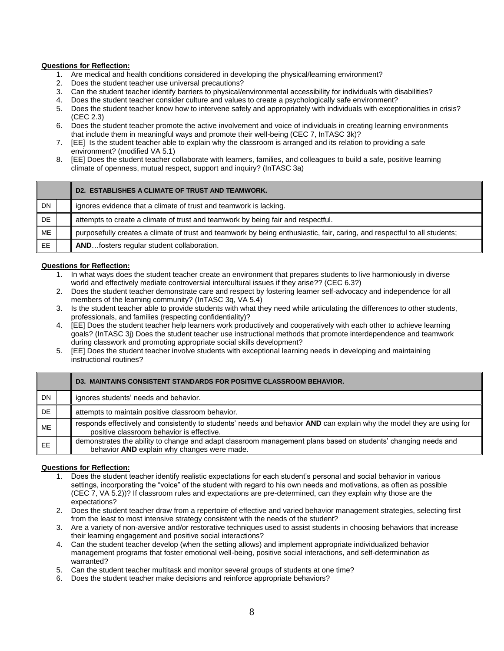- 1. Are medical and health conditions considered in developing the physical/learning environment?
- 2. Does the student teacher use universal precautions?
- 3. Can the student teacher identify barriers to physical/environmental accessibility for individuals with disabilities?
- 4. Does the student teacher consider culture and values to create a psychologically safe environment?
- 5. Does the student teacher know how to intervene safely and appropriately with individuals with exceptionalities in crisis? (CEC 2.3)
- 6. Does the student teacher promote the active involvement and voice of individuals in creating learning environments that include them in meaningful ways and promote their well-being (CEC 7, InTASC 3k)?
- 7. [EE] Is the student teacher able to explain why the classroom is arranged and its relation to providing a safe environment? (modified VA 5.1)
- 8. [EE] Does the student teacher collaborate with learners, families, and colleagues to build a safe, positive learning climate of openness, mutual respect, support and inquiry? (InTASC 3a)

|     | D2. ESTABLISHES A CLIMATE OF TRUST AND TEAMWORK.                                                                          |
|-----|---------------------------------------------------------------------------------------------------------------------------|
| DN  | ignores evidence that a climate of trust and teamwork is lacking.                                                         |
| DE  | attempts to create a climate of trust and teamwork by being fair and respectful.                                          |
| ME  | purposefully creates a climate of trust and teamwork by being enthusiastic, fair, caring, and respectful to all students; |
| EE. | ANDfosters regular student collaboration.                                                                                 |

### **Questions for Reflection:**

- 1. In what ways does the student teacher create an environment that prepares students to live harmoniously in diverse world and effectively mediate controversial intercultural issues if they arise?? (CEC 6.3?)
- 2. Does the student teacher demonstrate care and respect by fostering learner self-advocacy and independence for all members of the learning community? (InTASC 3q, VA 5.4)
- 3. Is the student teacher able to provide students with what they need while articulating the differences to other students, professionals, and families (respecting confidentiality)?
- 4. [EE] Does the student teacher help learners work productively and cooperatively with each other to achieve learning goals? (InTASC 3j) Does the student teacher use instructional methods that promote interdependence and teamwork during classwork and promoting appropriate social skills development?
- 5. [EE] Does the student teacher involve students with exceptional learning needs in developing and maintaining instructional routines?

|           | <b>D3. MAINTAINS CONSISTENT STANDARDS FOR POSITIVE CLASSROOM BEHAVIOR.</b>                                                                                          |
|-----------|---------------------------------------------------------------------------------------------------------------------------------------------------------------------|
| DN        | ignores students' needs and behavior.                                                                                                                               |
| DE.       | attempts to maintain positive classroom behavior.                                                                                                                   |
| ME        | responds effectively and consistently to students' needs and behavior AND can explain why the model they are using for<br>positive classroom behavior is effective. |
| <b>EE</b> | demonstrates the ability to change and adapt classroom management plans based on students' changing needs and<br>behavior AND explain why changes were made.        |

- 1. Does the student teacher identify realistic expectations for each student's personal and social behavior in various settings, incorporating the "voice" of the student with regard to his own needs and motivations, as often as possible (CEC 7, VA 5.2))? If classroom rules and expectations are pre-determined, can they explain why those are the expectations?
- 2. Does the student teacher draw from a repertoire of effective and varied behavior management strategies, selecting first from the least to most intensive strategy consistent with the needs of the student?
- 3. Are a variety of non-aversive and/or restorative techniques used to assist students in choosing behaviors that increase their learning engagement and positive social interactions?
- 4. Can the student teacher develop (when the setting allows) and implement appropriate individualized behavior management programs that foster emotional well-being, positive social interactions, and self-determination as warranted?
- 5. Can the student teacher multitask and monitor several groups of students at one time?
- 6. Does the student teacher make decisions and reinforce appropriate behaviors?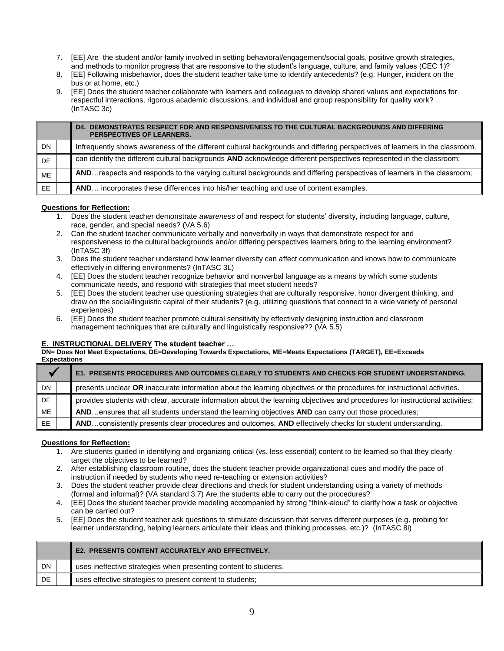- 7. [EE] Are the student and/or family involved in setting behavioral/engagement/social goals, positive growth strategies, and methods to monitor progress that are responsive to the student's language, culture, and family values (CEC 1)?
- 8. [EE] Following misbehavior, does the student teacher take time to identify antecedents? (e.g. Hunger, incident on the bus or at home, etc.)
- 9. [EE] Does the student teacher collaborate with learners and colleagues to develop shared values and expectations for respectful interactions, rigorous academic discussions, and individual and group responsibility for quality work? (InTASC 3c)

|           | DEMONSTRATES RESPECT FOR AND RESPONSIVENESS TO THE CULTURAL BACKGROUNDS AND DIFFERING<br>D4.<br>PERSPECTIVES OF LEARNERS.   |
|-----------|-----------------------------------------------------------------------------------------------------------------------------|
| <b>DN</b> | Infrequently shows awareness of the different cultural backgrounds and differing perspectives of learners in the classroom. |
| <b>DE</b> | can identify the different cultural backgrounds AND acknowledge different perspectives represented in the classroom;        |
| ME        | ANDrespects and responds to the varying cultural backgrounds and differing perspectives of learners in the classroom;       |
| EE.       | AND incorporates these differences into his/her teaching and use of content examples.                                       |

- 1. Does the student teacher demonstrate *awareness* of and respect for students' diversity, including language, culture, race, gender, and special needs? (VA 5.6)
- 2. Can the student teacher communicate verbally and nonverbally in ways that demonstrate respect for and responsiveness to the cultural backgrounds and/or differing perspectives learners bring to the learning environment? (InTASC 3f)
- 3. Does the student teacher understand how learner diversity can affect communication and knows how to communicate effectively in differing environments? (InTASC 3L)
- 4. [EE] Does the student teacher recognize behavior and nonverbal language as a means by which some students communicate needs, and respond with strategies that meet student needs?
- 5. [EE] Does the student teacher use questioning strategies that are culturally responsive, honor divergent thinking, and draw on the social/linguistic capital of their students? (e.g. utilizing questions that connect to a wide variety of personal experiences)
- 6. [EE] Does the student teacher promote cultural sensitivity by effectively designing instruction and classroom management techniques that are culturally and linguistically responsive?? (VA 5.5)

# **E. INSTRUCTIONAL DELIVERY The student teacher …**

**DN= Does Not Meet Expectations, DE=Developing Towards Expectations, ME=Meets Expectations (TARGET), EE=Exceeds Expectations**

|           | E1. PRESENTS PROCEDURES AND OUTCOMES CLEARLY TO STUDENTS AND CHECKS FOR STUDENT UNDERSTANDING.                                |
|-----------|-------------------------------------------------------------------------------------------------------------------------------|
| <b>DN</b> | presents unclear OR inaccurate information about the learning objectives or the procedures for instructional activities.      |
| DE.       | provides students with clear, accurate information about the learning objectives and procedures for instructional activities; |
| ME        | ANDensures that all students understand the learning objectives AND can carry out those procedures;                           |
| EE.       | ANDconsistently presents clear procedures and outcomes, AND effectively checks for student understanding.                     |

- 1. Are students guided in identifying and organizing critical (vs. less essential) content to be learned so that they clearly target the objectives to be learned?
- 2. After establishing classroom routine, does the student teacher provide organizational cues and modify the pace of instruction if needed by students who need re-teaching or extension activities?
- 3. Does the student teacher provide clear directions and check for student understanding using a variety of methods (formal and informal)? (VA standard 3.7) Are the students able to carry out the procedures?
- 4. [EE] Does the student teacher provide modeling accompanied by strong "think-aloud" to clarify how a task or objective can be carried out?
- 5. [EE] Does the student teacher ask questions to stimulate discussion that serves different purposes (e.g. probing for learner understanding, helping learners articulate their ideas and thinking processes, etc.)? (InTASC 8i)

|           |  | <b>E2. PRESENTS CONTENT ACCURATELY AND EFFECTIVELY.</b>          |
|-----------|--|------------------------------------------------------------------|
| <b>DN</b> |  | uses ineffective strategies when presenting content to students. |
| DE        |  | uses effective strategies to present content to students;        |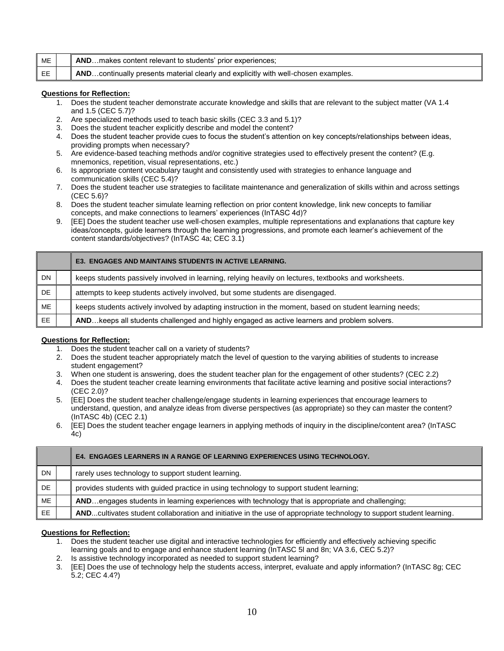| ME | ANDmakes content relevant to students' prior experiences;                          |
|----|------------------------------------------------------------------------------------|
| EE | ANDcontinually presents material clearly and explicitly with well-chosen examples. |

- 1. Does the student teacher demonstrate accurate knowledge and skills that are relevant to the subject matter (VA 1.4 and 1.5 (CEC 5.7)?
- 2. Are specialized methods used to teach basic skills (CEC 3.3 and 5.1)?
- 3. Does the student teacher explicitly describe and model the content?
- 4. Does the student teacher provide cues to focus the student's attention on key concepts/relationships between ideas, providing prompts when necessary?
- 5. Are evidence-based teaching methods and/or cognitive strategies used to effectively present the content? (E.g. mnemonics, repetition, visual representations, etc.)
- 6. Is appropriate content vocabulary taught and consistently used with strategies to enhance language and communication skills (CEC 5.4)?
- 7. Does the student teacher use strategies to facilitate maintenance and generalization of skills within and across settings (CEC 5.6)?
- 8. Does the student teacher simulate learning reflection on prior content knowledge, link new concepts to familiar concepts, and make connections to learners' experiences (InTASC 4d)?
- 9. [EE] Does the student teacher use well-chosen examples, multiple representations and explanations that capture key ideas/concepts, guide learners through the learning progressions, and promote each learner's achievement of the content standards/objectives? (InTASC 4a; CEC 3.1)

|           | <b>E3. ENGAGES AND MAINTAINS STUDENTS IN ACTIVE LEARNING.</b>                                            |
|-----------|----------------------------------------------------------------------------------------------------------|
| <b>DN</b> | keeps students passively involved in learning, relying heavily on lectures, textbooks and worksheets.    |
| DE.       | attempts to keep students actively involved, but some students are disengaged.                           |
| ME        | keeps students actively involved by adapting instruction in the moment, based on student learning needs; |
| EE        | AND keeps all students challenged and highly engaged as active learners and problem solvers.             |

### **Questions for Reflection:**

- 1. Does the student teacher call on a variety of students?
- 2. Does the student teacher appropriately match the level of question to the varying abilities of students to increase student engagement?
- 3. When one student is answering, does the student teacher plan for the engagement of other students? (CEC 2.2)
- 4. Does the student teacher create learning environments that facilitate active learning and positive social interactions? (CEC 2.0)?
- 5. [EE] Does the student teacher challenge/engage students in learning experiences that encourage learners to understand, question, and analyze ideas from diverse perspectives (as appropriate) so they can master the content? (InTASC 4b) (CEC 2.1)
- 6. [EE] Does the student teacher engage learners in applying methods of inquiry in the discipline/content area? (InTASC 4c)

|           | <b>E4. ENGAGES LEARNERS IN A RANGE OF LEARNING EXPERIENCES USING TECHNOLOGY.</b>                                     |
|-----------|----------------------------------------------------------------------------------------------------------------------|
| <b>DN</b> | rarely uses technology to support student learning.                                                                  |
| DE        | provides students with guided practice in using technology to support student learning;                              |
| ME        | ANDengages students in learning experiences with technology that is appropriate and challenging;                     |
| EE.       | ANDcultivates student collaboration and initiative in the use of appropriate technology to support student learning. |

- 1. Does the student teacher use digital and interactive technologies for efficiently and effectively achieving specific learning goals and to engage and enhance student learning (InTASC 5l and 8n; VA 3.6, CEC 5.2)?
- 2. Is assistive technology incorporated as needed to support student learning?
- 3. [EE] Does the use of technology help the students access, interpret, evaluate and apply information? (InTASC 8g; CEC 5.2; CEC 4.4?)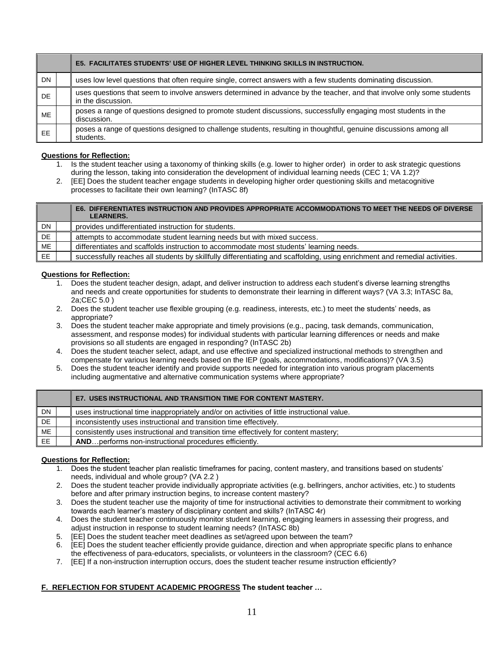|           | <b>E5. FACILITATES STUDENTS' USE OF HIGHER LEVEL THINKING SKILLS IN INSTRUCTION.</b>                                                        |
|-----------|---------------------------------------------------------------------------------------------------------------------------------------------|
| <b>DN</b> | uses low level questions that often require single, correct answers with a few students dominating discussion.                              |
| <b>DE</b> | uses questions that seem to involve answers determined in advance by the teacher, and that involve only some students<br>in the discussion. |
| <b>ME</b> | poses a range of questions designed to promote student discussions, successfully engaging most students in the<br>discussion.               |
| <b>EE</b> | poses a range of questions designed to challenge students, resulting in thoughtful, genuine discussions among all<br>students.              |

- 1. Is the student teacher using a taxonomy of thinking skills (e.g. lower to higher order) in order to ask strategic questions during the lesson, taking into consideration the development of individual learning needs (CEC 1; VA 1.2)?
- 2. [EE] Does the student teacher engage students in developing higher order questioning skills and metacognitive processes to facilitate their own learning? (InTASC 8f)

|           | E6. DIFFERENTIATES INSTRUCTION AND PROVIDES APPROPRIATE ACCOMMODATIONS TO MEET THE NEEDS OF DIVERSE<br><b>LEARNERS.</b>    |
|-----------|----------------------------------------------------------------------------------------------------------------------------|
| <b>DN</b> | provides undifferentiated instruction for students.                                                                        |
| DE        | attempts to accommodate student learning needs but with mixed success.                                                     |
| ME        | differentiates and scaffolds instruction to accommodate most students' learning needs.                                     |
| EE        | successfully reaches all students by skillfully differentiating and scaffolding, using enrichment and remedial activities. |

# **Questions for Reflection:**

- 1. Does the student teacher design, adapt, and deliver instruction to address each student's diverse learning strengths and needs and create opportunities for students to demonstrate their learning in different ways? (VA 3.3; InTASC 8a, 2a;CEC 5.0 )
- 2. Does the student teacher use flexible grouping (e.g. readiness, interests, etc.) to meet the students' needs, as appropriate?
- 3. Does the student teacher make appropriate and timely provisions (e.g., pacing, task demands, communication, assessment, and response modes) for individual students with particular learning differences or needs and make provisions so all students are engaged in responding? (InTASC 2b)
- 4. Does the student teacher select, adapt, and use effective and specialized instructional methods to strengthen and compensate for various learning needs based on the IEP (goals, accommodations, modifications)? (VA 3.5)
- 5. Does the student teacher identify and provide supports needed for integration into various program placements including augmentative and alternative communication systems where appropriate?

|    | E7. USES INSTRUCTIONAL AND TRANSITION TIME FOR CONTENT MASTERY.                             |
|----|---------------------------------------------------------------------------------------------|
| DN | uses instructional time inappropriately and/or on activities of little instructional value. |
| DE | inconsistently uses instructional and transition time effectively.                          |
| ME | consistently uses instructional and transition time effectively for content mastery;        |
| EE | <b>ANDperforms non-instructional procedures efficiently.</b>                                |

# **Questions for Reflection:**

- 1. Does the student teacher plan realistic timeframes for pacing, content mastery, and transitions based on students' needs, individual and whole group? (VA 2.2 )
- 2. Does the student teacher provide individually appropriate activities (e.g. bellringers, anchor activities, etc.) to students before and after primary instruction begins, to increase content mastery?
- 3. Does the student teacher use the majority of time for instructional activities to demonstrate their commitment to working towards each learner's mastery of disciplinary content and skills? (InTASC 4r)
- 4. Does the student teacher continuously monitor student learning, engaging learners in assessing their progress, and adjust instruction in response to student learning needs? (InTASC 8b)
- 5. [EE] Does the student teacher meet deadlines as set/agreed upon between the team?
- 6. [EE] Does the student teacher efficiently provide guidance, direction and when appropriate specific plans to enhance the effectiveness of para-educators, specialists, or volunteers in the classroom? (CEC 6.6)
- 7. [EE] If a non-instruction interruption occurs, does the student teacher resume instruction efficiently?

# **F. REFLECTION FOR STUDENT ACADEMIC PROGRESS The student teacher …**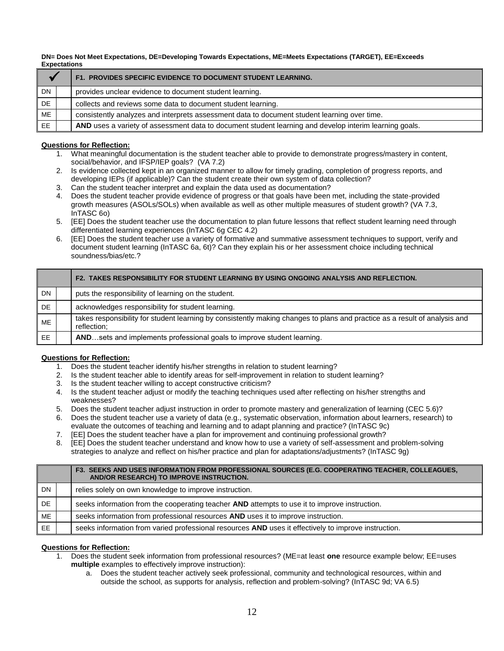**DN= Does Not Meet Expectations, DE=Developing Towards Expectations, ME=Meets Expectations (TARGET), EE=Exceeds Expectations**

|           | F1. PROVIDES SPECIFIC EVIDENCE TO DOCUMENT STUDENT LEARNING.                                           |
|-----------|--------------------------------------------------------------------------------------------------------|
| <b>DN</b> | provides unclear evidence to document student learning.                                                |
| DE        | collects and reviews some data to document student learning.                                           |
| ME        | consistently analyzes and interprets assessment data to document student learning over time.           |
| EE.       | AND uses a variety of assessment data to document student learning and develop interim learning goals. |

# **Questions for Reflection:**

- 1. What meaningful documentation is the student teacher able to provide to demonstrate progress/mastery in content, social/behavior, and IFSP/IEP goals? (VA 7.2)
- 2. Is evidence collected kept in an organized manner to allow for timely grading, completion of progress reports, and developing IEPs (if applicable)? Can the student create their own system of data collection?
- 3. Can the student teacher interpret and explain the data used as documentation?
- 4. Does the student teacher provide evidence of progress or that goals have been met, including the state-provided growth measures (ASOLs/SOLs) when available as well as other multiple measures of student growth? (VA 7.3, InTASC 6o)
- 5. [EE] Does the student teacher use the documentation to plan future lessons that reflect student learning need through differentiated learning experiences (InTASC 6g CEC 4.2)
- 6. [EE] Does the student teacher use a variety of formative and summative assessment techniques to support, verify and document student learning (InTASC 6a, 6t)? Can they explain his or her assessment choice including technical soundness/bias/etc.?

|           | F2. TAKES RESPONSIBILITY FOR STUDENT LEARNING BY USING ONGOING ANALYSIS AND REFLECTION.                                                   |
|-----------|-------------------------------------------------------------------------------------------------------------------------------------------|
| DN.       | puts the responsibility of learning on the student.                                                                                       |
| DE.       | acknowledges responsibility for student learning.                                                                                         |
| <b>ME</b> | takes responsibility for student learning by consistently making changes to plans and practice as a result of analysis and<br>reflection; |
| EE.       | ANDsets and implements professional goals to improve student learning.                                                                    |

# **Questions for Reflection:**

- 1. Does the student teacher identify his/her strengths in relation to student learning?
- 2. Is the student teacher able to identify areas for self-improvement in relation to student learning?
- 3. Is the student teacher willing to accept constructive criticism?
- 4. Is the student teacher adjust or modify the teaching techniques used after reflecting on his/her strengths and weaknesses?
- 5. Does the student teacher adjust instruction in order to promote mastery and generalization of learning (CEC 5.6)?
- 6. Does the student teacher use a variety of data (e.g., systematic observation, information about learners, research) to evaluate the outcomes of teaching and learning and to adapt planning and practice? (InTASC 9c)
- 7. [EE] Does the student teacher have a plan for improvement and continuing professional growth?
- 8. [EE] Does the student teacher understand and know how to use a variety of self-assessment and problem-solving strategies to analyze and reflect on his/her practice and plan for adaptations/adjustments? (InTASC 9g)

|           | F3. SEEKS AND USES INFORMATION FROM PROFESSIONAL SOURCES (E.G. COOPERATING TEACHER, COLLEAGUES,<br>AND/OR RESEARCH) TO IMPROVE INSTRUCTION. |
|-----------|---------------------------------------------------------------------------------------------------------------------------------------------|
| DN.       | relies solely on own knowledge to improve instruction.                                                                                      |
| DE.       | seeks information from the cooperating teacher AND attempts to use it to improve instruction.                                               |
| ME        | seeks information from professional resources AND uses it to improve instruction.                                                           |
| <b>EE</b> | seeks information from varied professional resources AND uses it effectively to improve instruction.                                        |

- 1. Does the student seek information from professional resources? (ME=at least **one** resource example below; EE=uses **multiple** examples to effectively improve instruction):
	- a. Does the student teacher actively seek professional, community and technological resources, within and outside the school, as supports for analysis, reflection and problem-solving? (InTASC 9d; VA 6.5)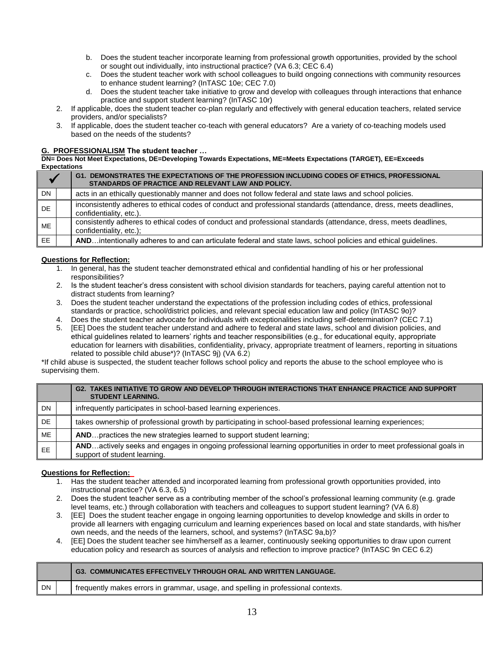- b. Does the student teacher incorporate learning from professional growth opportunities, provided by the school or sought out individually, into instructional practice? (VA 6.3; CEC 6.4)
- c. Does the student teacher work with school colleagues to build ongoing connections with community resources to enhance student learning? (InTASC 10e; CEC 7.0)
- d. Does the student teacher take initiative to grow and develop with colleagues through interactions that enhance practice and support student learning? (InTASC 10r)
- 2. If applicable, does the student teacher co-plan regularly and effectively with general education teachers, related service providers, and/or specialists?
- 3. If applicable, does the student teacher co-teach with general educators? Are a variety of co-teaching models used based on the needs of the students?

### **G. PROFESSIONALISM The student teacher …**

**DN= Does Not Meet Expectations, DE=Developing Towards Expectations, ME=Meets Expectations (TARGET), EE=Exceeds Expectations**

|           |  | G1. DEMONSTRATES THE EXPECTATIONS OF THE PROFESSION INCLUDING CODES OF ETHICS, PROFESSIONAL<br>STANDARDS OF PRACTICE AND RELEVANT LAW AND POLICY. |
|-----------|--|---------------------------------------------------------------------------------------------------------------------------------------------------|
| <b>DN</b> |  | acts in an ethically questionably manner and does not follow federal and state laws and school policies.                                          |
| <b>DE</b> |  | inconsistently adheres to ethical codes of conduct and professional standards (attendance, dress, meets deadlines,<br>confidentiality, etc.).     |
| <b>ME</b> |  | consistently adheres to ethical codes of conduct and professional standards (attendance, dress, meets deadlines,<br>confidentiality, etc.);       |
| EE.       |  | ANDintentionally adheres to and can articulate federal and state laws, school policies and ethical guidelines.                                    |

# **Questions for Reflection:**

- 1. In general, has the student teacher demonstrated ethical and confidential handling of his or her professional responsibilities?
- 2. Is the student teacher's dress consistent with school division standards for teachers, paying careful attention not to distract students from learning?
- 3. Does the student teacher understand the expectations of the profession including codes of ethics, professional standards or practice, school/district policies, and relevant special education law and policy (InTASC 9o)?
- 4. Does the student teacher advocate for individuals with exceptionalities including self-determination? (CEC 7.1)
- 5. [EE] Does the student teacher understand and adhere to federal and state laws, school and division policies, and ethical guidelines related to learners' rights and teacher responsibilities (e.g., for educational equity, appropriate education for learners with disabilities, confidentiality, privacy, appropriate treatment of learners, reporting in situations related to possible child abuse\*)? (InTASC 9j) (VA 6.2)

\*If child abuse is suspected, the student teacher follows school policy and reports the abuse to the school employee who is supervising them.

|           | G2. TAKES INITIATIVE TO GROW AND DEVELOP THROUGH INTERACTIONS THAT ENHANCE PRACTICE AND SUPPORT<br><b>STUDENT LEARNING.</b>                         |
|-----------|-----------------------------------------------------------------------------------------------------------------------------------------------------|
| DN        | infrequently participates in school-based learning experiences.                                                                                     |
| DE.       | takes ownership of professional growth by participating in school-based professional learning experiences;                                          |
| <b>ME</b> | ANDpractices the new strategies learned to support student learning:                                                                                |
| <b>EE</b> | ANDactively seeks and engages in ongoing professional learning opportunities in order to meet professional goals in<br>support of student learning. |

- 1. Has the student teacher attended and incorporated learning from professional growth opportunities provided, into instructional practice? (VA 6.3, 6.5)
- 2. Does the student teacher serve as a contributing member of the school's professional learning community (e.g. grade level teams, etc.) through collaboration with teachers and colleagues to support student learning? (VA 6.8)
- 3. [EE] Does the student teacher engage in ongoing learning opportunities to develop knowledge and skills in order to provide all learners with engaging curriculum and learning experiences based on local and state standards, with his/her own needs, and the needs of the learners, school, and systems? (InTASC 9a,b)?
- 4. [EE] Does the student teacher see him/herself as a learner, continuously seeking opportunities to draw upon current education policy and research as sources of analysis and reflection to improve practice? (InTASC 9n CEC 6.2)

|    |  | <b>G3. COMMUNICATES EFFECTIVELY THROUGH ORAL AND WRITTEN LANGUAGE.</b>            |
|----|--|-----------------------------------------------------------------------------------|
| DN |  | frequently makes errors in grammar, usage, and spelling in professional contexts. |